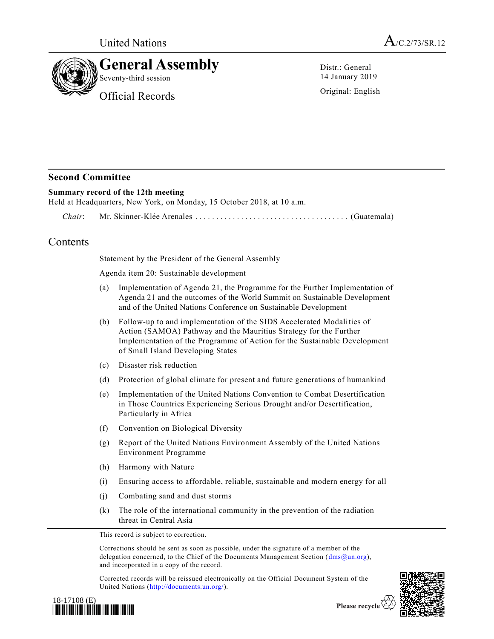

Distr.: General 14 January 2019

Original: English

## **Second Committee**

## **Summary record of the 12th meeting**

Held at Headquarters, New York, on Monday, 15 October 2018, at 10 a.m.

*Chair*: Mr. Skinner-Klée Arenales ................................ ..... (Guatemala)

## Contents

Statement by the President of the General Assembly

Agenda item 20: Sustainable development

- (a) Implementation of Agenda 21, the Programme for the Further Implementation of Agenda 21 and the outcomes of the World Summit on Sustainable Development and of the United Nations Conference on Sustainable Development
- (b) Follow-up to and implementation of the SIDS Accelerated Modalities of Action (SAMOA) Pathway and the Mauritius Strategy for the Further Implementation of the Programme of Action for the Sustainable Development of Small Island Developing States
- (c) Disaster risk reduction
- (d) Protection of global climate for present and future generations of humankind
- (e) Implementation of the United Nations Convention to Combat Desertification in Those Countries Experiencing Serious Drought and/or Desertification, Particularly in Africa
- (f) Convention on Biological Diversity
- (g) Report of the United Nations Environment Assembly of the United Nations Environment Programme
- (h) Harmony with Nature
- (i) Ensuring access to affordable, reliable, sustainable and modern energy for all
- (j) Combating sand and dust storms
- (k) The role of the international community in the prevention of the radiation threat in Central Asia

This record is subject to correction.

Corrections should be sent as soon as possible, under the signature of a member of the delegation concerned, to the Chief of the Documents Management Section [\(dms@un.org\)](mailto:dms@un.org), and incorporated in a copy of the record.

Corrected records will be reissued electronically on the Official Document System of the United Nations [\(http://documents.un.org/\)](http://documents.un.org/).



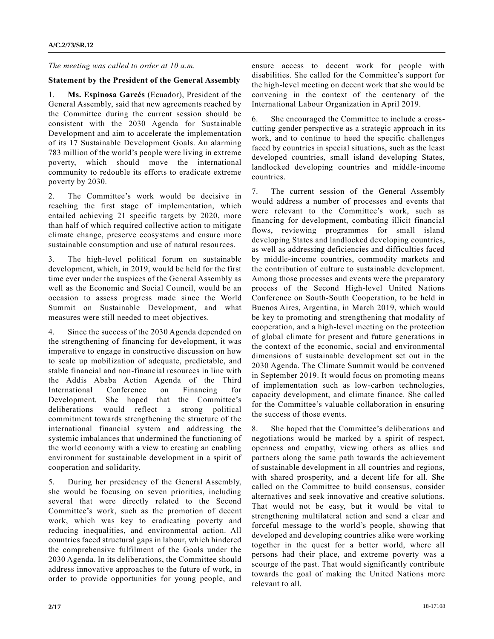*The meeting was called to order at 10 a.m.*

## **Statement by the President of the General Assembly**

1. **Ms. Espinosa Garcés** (Ecuador), President of the General Assembly, said that new agreements reached by the Committee during the current session should be consistent with the 2030 Agenda for Sustainable Development and aim to accelerate the implementation of its 17 Sustainable Development Goals. An alarming 783 million of the world's people were living in extreme poverty, which should move the international community to redouble its efforts to eradicate extreme poverty by 2030.

2. The Committee's work would be decisive in reaching the first stage of implementation, which entailed achieving 21 specific targets by 2020, more than half of which required collective action to mitigate climate change, preserve ecosystems and ensure more sustainable consumption and use of natural resources.

3. The high-level political forum on sustainable development, which, in 2019, would be held for the first time ever under the auspices of the General Assembly as well as the Economic and Social Council, would be an occasion to assess progress made since the World Summit on Sustainable Development, and what measures were still needed to meet objectives.

4. Since the success of the 2030 Agenda depended on the strengthening of financing for development, it was imperative to engage in constructive discussion on how to scale up mobilization of adequate, predictable, and stable financial and non-financial resources in line with the Addis Ababa Action Agenda of the Third International Conference on Financing for Development. She hoped that the Committee's deliberations would reflect a strong political commitment towards strengthening the structure of the international financial system and addressing the systemic imbalances that undermined the functioning of the world economy with a view to creating an enabling environment for sustainable development in a spirit of cooperation and solidarity.

5. During her presidency of the General Assembly, she would be focusing on seven priorities, including several that were directly related to the Second Committee's work, such as the promotion of decent work, which was key to eradicating poverty and reducing inequalities, and environmental action. All countries faced structural gaps in labour, which hindered the comprehensive fulfilment of the Goals under the 2030 Agenda. In its deliberations, the Committee should address innovative approaches to the future of work, in order to provide opportunities for young people, and ensure access to decent work for people with disabilities. She called for the Committee's support for the high-level meeting on decent work that she would be convening in the context of the centenary of the International Labour Organization in April 2019.

6. She encouraged the Committee to include a crosscutting gender perspective as a strategic approach in its work, and to continue to heed the specific challenges faced by countries in special situations, such as the least developed countries, small island developing States, landlocked developing countries and middle-income countries.

7. The current session of the General Assembly would address a number of processes and events that were relevant to the Committee's work, such as financing for development, combating illicit financial flows, reviewing programmes for small island developing States and landlocked developing countries, as well as addressing deficiencies and difficulties faced by middle-income countries, commodity markets and the contribution of culture to sustainable development. Among those processes and events were the preparatory process of the Second High-level United Nations Conference on South-South Cooperation, to be held in Buenos Aires, Argentina, in March 2019, which would be key to promoting and strengthening that modality of cooperation, and a high-level meeting on the protection of global climate for present and future generations in the context of the economic, social and environmental dimensions of sustainable development set out in the 2030 Agenda. The Climate Summit would be convened in September 2019. It would focus on promoting means of implementation such as low-carbon technologies, capacity development, and climate finance. She called for the Committee's valuable collaboration in ensuring the success of those events.

8. She hoped that the Committee's deliberations and negotiations would be marked by a spirit of respect, openness and empathy, viewing others as allies and partners along the same path towards the achievement of sustainable development in all countries and regions, with shared prosperity, and a decent life for all. She called on the Committee to build consensus, consider alternatives and seek innovative and creative solutions. That would not be easy, but it would be vital to strengthening multilateral action and send a clear and forceful message to the world's people, showing that developed and developing countries alike were working together in the quest for a better world, where all persons had their place, and extreme poverty was a scourge of the past. That would significantly contribute towards the goal of making the United Nations more relevant to all.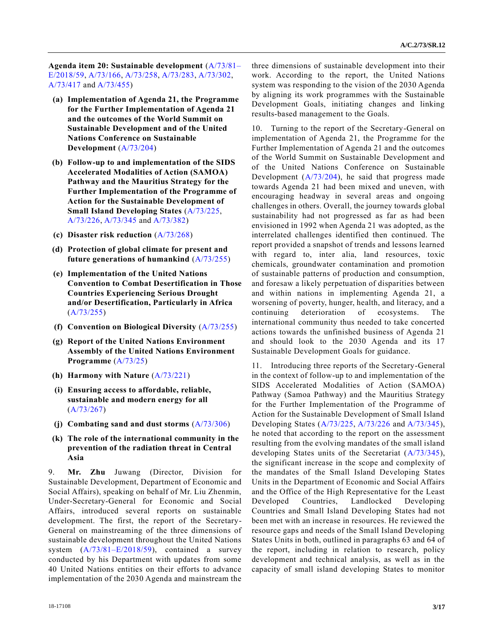**Agenda item 20: Sustainable development** [\(A/73/81–](https://undocs.org/A/73/81–E/2018/59) [E/2018/59,](https://undocs.org/A/73/81–E/2018/59) [A/73/166,](https://undocs.org/A/73/166) [A/73/258,](https://undocs.org/A/73/258) [A/73/283,](https://undocs.org/A/73/283) [A/73/302,](https://undocs.org/A/73/302) [A/73/417](https://undocs.org/A/73/417) and [A/73/455\)](https://undocs.org/A/73/455)

- **(a) Implementation of Agenda 21, the Programme for the Further Implementation of Agenda 21 and the outcomes of the World Summit on Sustainable Development and of the United Nations Conference on Sustainable Development** [\(A/73/204\)](https://undocs.org/A/73/204)
- **(b) Follow-up to and implementation of the SIDS Accelerated Modalities of Action (SAMOA) Pathway and the Mauritius Strategy for the Further Implementation of the Programme of Action for the Sustainable Development of Small Island Developing States** [\(A/73/225,](https://undocs.org/A/73/225) [A/73/226,](https://undocs.org/A/73/226) [A/73/345](https://undocs.org/A/73/345) and [A/73/382\)](https://undocs.org/A/73/382)
- **(c) Disaster risk reduction** [\(A/73/268\)](https://undocs.org/A/73/268)
- **(d) Protection of global climate for present and future generations of humankind** [\(A/73/255\)](https://undocs.org/A/73/255)
- **(e) Implementation of the United Nations Convention to Combat Desertification in Those Countries Experiencing Serious Drought and/or Desertification, Particularly in Africa** [\(A/73/255\)](https://undocs.org/A/73/255)
- **(f) Convention on Biological Diversity** [\(A/73/255\)](https://undocs.org/A/73/255)
- **(g) Report of the United Nations Environment Assembly of the United Nations Environment Programme** [\(A/73/25\)](https://undocs.org/A/73/25)
- **(h) Harmony with Nature** [\(A/73/221\)](https://undocs.org/A/73/221)
- **(i) Ensuring access to affordable, reliable, sustainable and modern energy for all** [\(A/73/267\)](https://undocs.org/A/73/267)
- **(j) Combating sand and dust storms** [\(A/73/306\)](https://undocs.org/A/73/306)
- **(k) The role of the international community in the prevention of the radiation threat in Central Asia**

9. **Mr. Zhu** Juwang (Director, Division for Sustainable Development, Department of Economic and Social Affairs), speaking on behalf of Mr. Liu Zhenmin, Under-Secretary-General for Economic and Social Affairs, introduced several reports on sustainable development. The first, the report of the Secretary-General on mainstreaming of the three dimensions of sustainable development throughout the United Nations system [\(A/73/81–E/2018/59\)](https://undocs.org/A/73/81–E/2018/59), contained a survey conducted by his Department with updates from some 40 United Nations entities on their efforts to advance implementation of the 2030 Agenda and mainstream the

three dimensions of sustainable development into their work. According to the report, the United Nations system was responding to the vision of the 2030 Agenda by aligning its work programmes with the Sustainable Development Goals, initiating changes and linking results-based management to the Goals.

10. Turning to the report of the Secretary-General on implementation of Agenda 21, the Programme for the Further Implementation of Agenda 21 and the outcomes of the World Summit on Sustainable Development and of the United Nations Conference on Sustainable Development [\(A/73/204\)](https://undocs.org/A/73/204), he said that progress made towards Agenda 21 had been mixed and uneven, with encouraging headway in several areas and ongoing challenges in others. Overall, the journey towards global sustainability had not progressed as far as had been envisioned in 1992 when Agenda 21 was adopted, as the interrelated challenges identified then continued. The report provided a snapshot of trends and lessons learned with regard to, inter alia, land resources, toxic chemicals, groundwater contamination and promotion of sustainable patterns of production and consumption, and foresaw a likely perpetuation of disparities between and within nations in implementing Agenda 21, a worsening of poverty, hunger, health, and literacy, and a continuing deterioration of ecosystems. The international community thus needed to take concerted actions towards the unfinished business of Agenda 21 and should look to the 2030 Agenda and its 17 Sustainable Development Goals for guidance.

11. Introducing three reports of the Secretary-General in the context of follow-up to and implementation of the SIDS Accelerated Modalities of Action (SAMOA) Pathway (Samoa Pathway) and the Mauritius Strategy for the Further Implementation of the Programme of Action for the Sustainable Development of Small Island Developing States [\(A/73/225,](https://undocs.org/A/73/225) [A/73/226](https://undocs.org/A/73/226) and [A/73/345\)](https://undocs.org/A/73/345), he noted that according to the report on the assessment resulting from the evolving mandates of the small island developing States units of the Secretariat [\(A/73/345\)](https://undocs.org/A/73/345), the significant increase in the scope and complexity of the mandates of the Small Island Developing States Units in the Department of Economic and Social Affairs and the Office of the High Representative for the Least Developed Countries, Landlocked Developing Countries and Small Island Developing States had not been met with an increase in resources. He reviewed the resource gaps and needs of the Small Island Developing States Units in both, outlined in paragraphs 63 and 64 of the report, including in relation to research, policy development and technical analysis, as well as in the capacity of small island developing States to monitor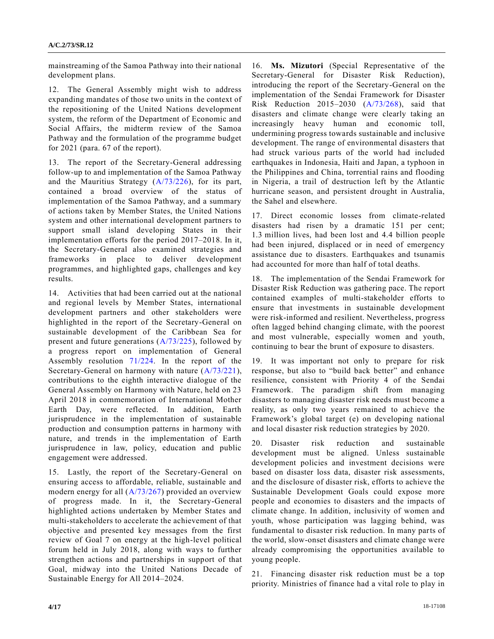mainstreaming of the Samoa Pathway into their national development plans.

12. The General Assembly might wish to address expanding mandates of those two units in the context of the repositioning of the United Nations development system, the reform of the Department of Economic and Social Affairs, the midterm review of the Samoa Pathway and the formulation of the programme budget for 2021 (para. 67 of the report).

13. The report of the Secretary-General addressing follow-up to and implementation of the Samoa Pathway and the Mauritius Strategy [\(A/73/226\)](https://undocs.org/A/73/226), for its part, contained a broad overview of the status of implementation of the Samoa Pathway, and a summary of actions taken by Member States, the United Nations system and other international development partners to support small island developing States in their implementation efforts for the period 2017–2018. In it, the Secretary-General also examined strategies and frameworks in place to deliver development programmes, and highlighted gaps, challenges and key results.

14. Activities that had been carried out at the national and regional levels by Member States, international development partners and other stakeholders were highlighted in the report of the Secretary-General on sustainable development of the Caribbean Sea for present and future generations [\(A/73/225\)](https://undocs.org/A/73/225), followed by a progress report on implementation of General Assembly resolution [71/224.](https://undocs.org/A/RES/71/224) In the report of the Secretary-General on harmony with nature [\(A/73/221\)](https://undocs.org/A/73/221), contributions to the eighth interactive dialogue of the General Assembly on Harmony with Nature, held on 23 April 2018 in commemoration of International Mother Earth Day, were reflected. In addition, Earth jurisprudence in the implementation of sustainable production and consumption patterns in harmony with nature, and trends in the implementation of Earth jurisprudence in law, policy, education and public engagement were addressed.

15. Lastly, the report of the Secretary-General on ensuring access to affordable, reliable, sustainable and modern energy for all [\(A/73/267\)](https://undocs.org/A/73/267) provided an overview of progress made. In it, the Secretary-General highlighted actions undertaken by Member States and multi-stakeholders to accelerate the achievement of that objective and presented key messages from the first review of Goal 7 on energy at the high-level political forum held in July 2018, along with ways to further strengthen actions and partnerships in support of that Goal, midway into the United Nations Decade of Sustainable Energy for All 2014–2024.

16. **Ms. Mizutori** (Special Representative of the Secretary-General for Disaster Risk Reduction), introducing the report of the Secretary-General on the implementation of the Sendai Framework for Disaster Risk Reduction 2015–2030 [\(A/73/268\)](https://undocs.org/A/73/268), said that disasters and climate change were clearly taking an increasingly heavy human and economic toll, undermining progress towards sustainable and inclusive development. The range of environmental disasters that had struck various parts of the world had included earthquakes in Indonesia, Haiti and Japan, a typhoon in the Philippines and China, torrential rains and flooding in Nigeria, a trail of destruction left by the Atlantic hurricane season, and persistent drought in Australia, the Sahel and elsewhere.

17. Direct economic losses from climate-related disasters had risen by a dramatic 151 per cent; 1.3 million lives, had been lost and 4.4 billion people had been injured, displaced or in need of emergency assistance due to disasters. Earthquakes and tsunamis had accounted for more than half of total deaths.

18. The implementation of the Sendai Framework for Disaster Risk Reduction was gathering pace. The report contained examples of multi-stakeholder efforts to ensure that investments in sustainable development were risk-informed and resilient. Nevertheless, progress often lagged behind changing climate, with the poorest and most vulnerable, especially women and youth, continuing to bear the brunt of exposure to disasters.

19. It was important not only to prepare for risk response, but also to "build back better" and enhance resilience, consistent with Priority 4 of the Sendai Framework. The paradigm shift from managing disasters to managing disaster risk needs must become a reality, as only two years remained to achieve the Framework's global target (e) on developing national and local disaster risk reduction strategies by 2020.

20. Disaster risk reduction and sustainable development must be aligned. Unless sustainable development policies and investment decisions were based on disaster loss data, disaster risk assessments, and the disclosure of disaster risk, efforts to achieve the Sustainable Development Goals could expose more people and economies to disasters and the impacts of climate change. In addition, inclusivity of women and youth, whose participation was lagging behind, was fundamental to disaster risk reduction. In many parts of the world, slow-onset disasters and climate change were already compromising the opportunities available to young people.

21. Financing disaster risk reduction must be a top priority. Ministries of finance had a vital role to play in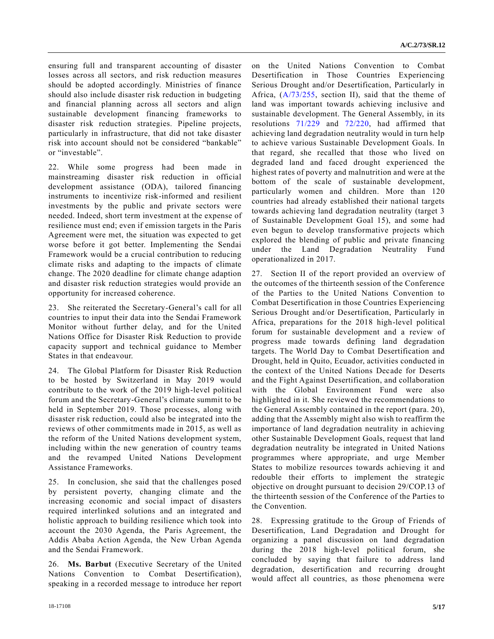ensuring full and transparent accounting of disaster losses across all sectors, and risk reduction measures should be adopted accordingly. Ministries of finance should also include disaster risk reduction in budgeting and financial planning across all sectors and align sustainable development financing frameworks to disaster risk reduction strategies. Pipeline projects, particularly in infrastructure, that did not take disaster risk into account should not be considered "bankable" or "investable".

22. While some progress had been made in mainstreaming disaster risk reduction in official development assistance (ODA), tailored financing instruments to incentivize risk-informed and resilient investments by the public and private sectors were needed. Indeed, short term investment at the expense of resilience must end; even if emission targets in the Paris Agreement were met, the situation was expected to get worse before it got better. Implementing the Sendai Framework would be a crucial contribution to reducing climate risks and adapting to the impacts of climate change. The 2020 deadline for climate change adaption and disaster risk reduction strategies would provide an opportunity for increased coherence.

23. She reiterated the Secretary-General's call for all countries to input their data into the Sendai Framework Monitor without further delay, and for the United Nations Office for Disaster Risk Reduction to provide capacity support and technical guidance to Member States in that endeavour.

24. The Global Platform for Disaster Risk Reduction to be hosted by Switzerland in May 2019 would contribute to the work of the 2019 high-level political forum and the Secretary-General's climate summit to be held in September 2019. Those processes, along with disaster risk reduction, could also be integrated into the reviews of other commitments made in 2015, as well as the reform of the United Nations development system, including within the new generation of country teams and the revamped United Nations Development Assistance Frameworks.

25. In conclusion, she said that the challenges posed by persistent poverty, changing climate and the increasing economic and social impact of disasters required interlinked solutions and an integrated and holistic approach to building resilience which took into account the 2030 Agenda, the Paris Agreement, the Addis Ababa Action Agenda, the New Urban Agenda and the Sendai Framework.

26. **Ms. Barbut** (Executive Secretary of the United Nations Convention to Combat Desertification), speaking in a recorded message to introduce her report on the United Nations Convention to Combat Desertification in Those Countries Experiencing Serious Drought and/or Desertification, Particularly in Africa,  $(A/73/255$ , section II), said that the theme of land was important towards achieving inclusive and sustainable development. The General Assembly, in its resolutions [71/229](https://undocs.org/A/RES/71/229) and [72/220,](https://undocs.org/A/RES/72/220) had affirmed that achieving land degradation neutrality would in turn help to achieve various Sustainable Development Goals. In that regard, she recalled that those who lived on degraded land and faced drought experienced the highest rates of poverty and malnutrition and were at the bottom of the scale of sustainable development, particularly women and children. More than 120 countries had already established their national targets towards achieving land degradation neutrality (target 3 of Sustainable Development Goal 15), and some had even begun to develop transformative projects which explored the blending of public and private financing under the Land Degradation Neutrality Fund operationalized in 2017.

27. Section II of the report provided an overview of the outcomes of the thirteenth session of the Conference of the Parties to the United Nations Convention to Combat Desertification in those Countries Experiencing Serious Drought and/or Desertification, Particularly in Africa, preparations for the 2018 high-level political forum for sustainable development and a review of progress made towards defining land degradation targets. The World Day to Combat Desertification and Drought, held in Quito, Ecuador, activities conducted in the context of the United Nations Decade for Deserts and the Fight Against Desertification, and collaboration with the Global Environment Fund were also highlighted in it. She reviewed the recommendations to the General Assembly contained in the report (para. 20), adding that the Assembly might also wish to reaffirm the importance of land degradation neutrality in achieving other Sustainable Development Goals, request that land degradation neutrality be integrated in United Nations programmes where appropriate, and urge Member States to mobilize resources towards achieving it and redouble their efforts to implement the strategic objective on drought pursuant to decision 29/COP.13 of the thirteenth session of the Conference of the Parties to the Convention.

28. Expressing gratitude to the Group of Friends of Desertification, Land Degradation and Drought for organizing a panel discussion on land degradation during the 2018 high-level political forum, she concluded by saying that failure to address land degradation, desertification and recurring drought would affect all countries, as those phenomena were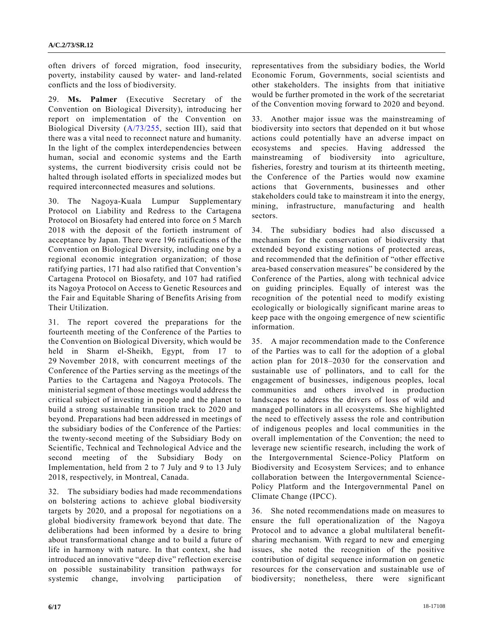often drivers of forced migration, food insecurity, poverty, instability caused by water- and land-related conflicts and the loss of biodiversity.

29. **Ms. Palmer** (Executive Secretary of the Convention on Biological Diversity), introducing her report on implementation of the Convention on Biological Diversity [\(A/73/255,](https://undocs.org/A/73/255) section III), said that there was a vital need to reconnect nature and humanity. In the light of the complex interdependencies between human, social and economic systems and the Earth systems, the current biodiversity crisis could not be halted through isolated efforts in specialized modes but required interconnected measures and solutions.

30. The Nagoya-Kuala Lumpur Supplementary Protocol on Liability and Redress to the Cartagena Protocol on Biosafety had entered into force on 5 March 2018 with the deposit of the fortieth instrument of acceptance by Japan. There were 196 ratifications of the Convention on Biological Diversity, including one by a regional economic integration organization; of those ratifying parties, 171 had also ratified that Convention's Cartagena Protocol on Biosafety, and 107 had ratified its Nagoya Protocol on Access to Genetic Resources and the Fair and Equitable Sharing of Benefits Arising from Their Utilization.

31. The report covered the preparations for the fourteenth meeting of the Conference of the Parties to the Convention on Biological Diversity, which would be held in Sharm el-Sheikh, Egypt, from 17 to 29 November 2018, with concurrent meetings of the Conference of the Parties serving as the meetings of the Parties to the Cartagena and Nagoya Protocols. The ministerial segment of those meetings would address the critical subject of investing in people and the planet to build a strong sustainable transition track to 2020 and beyond. Preparations had been addressed in meetings of the subsidiary bodies of the Conference of the Parties: the twenty-second meeting of the Subsidiary Body on Scientific, Technical and Technological Advice and the second meeting of the Subsidiary Body on Implementation, held from 2 to 7 July and 9 to 13 July 2018, respectively, in Montreal, Canada.

32. The subsidiary bodies had made recommendations on bolstering actions to achieve global biodiversity targets by 2020, and a proposal for negotiations on a global biodiversity framework beyond that date. The deliberations had been informed by a desire to bring about transformational change and to build a future of life in harmony with nature. In that context, she had introduced an innovative "deep dive" reflection exercise on possible sustainability transition pathways for systemic change, involving participation of

representatives from the subsidiary bodies, the World Economic Forum, Governments, social scientists and other stakeholders. The insights from that initiative would be further promoted in the work of the secretariat of the Convention moving forward to 2020 and beyond.

33. Another major issue was the mainstreaming of biodiversity into sectors that depended on it but whose actions could potentially have an adverse impact on ecosystems and species. Having addressed the mainstreaming of biodiversity into agriculture, fisheries, forestry and tourism at its thirteenth meeting, the Conference of the Parties would now examine actions that Governments, businesses and other stakeholders could take to mainstream it into the energy, mining, infrastructure, manufacturing and health sectors.

34. The subsidiary bodies had also discussed a mechanism for the conservation of biodiversity that extended beyond existing notions of protected areas, and recommended that the definition of "other effective area-based conservation measures" be considered by the Conference of the Parties, along with technical advice on guiding principles. Equally of interest was the recognition of the potential need to modify existing ecologically or biologically significant marine areas to keep pace with the ongoing emergence of new scientific information.

35. A major recommendation made to the Conference of the Parties was to call for the adoption of a global action plan for 2018–2030 for the conservation and sustainable use of pollinators, and to call for the engagement of businesses, indigenous peoples, local communities and others involved in production landscapes to address the drivers of loss of wild and managed pollinators in all ecosystems. She highlighted the need to effectively assess the role and contribution of indigenous peoples and local communities in the overall implementation of the Convention; the need to leverage new scientific research, including the work of the Intergovernmental Science-Policy Platform on Biodiversity and Ecosystem Services; and to enhance collaboration between the Intergovernmental Science-Policy Platform and the Intergovernmental Panel on Climate Change (IPCC).

36. She noted recommendations made on measures to ensure the full operationalization of the Nagoya Protocol and to advance a global multilateral benefitsharing mechanism. With regard to new and emerging issues, she noted the recognition of the positive contribution of digital sequence information on genetic resources for the conservation and sustainable use of biodiversity; nonetheless, there were significant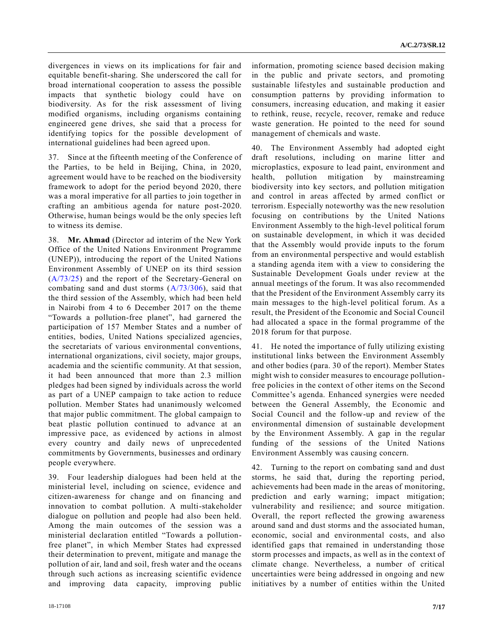divergences in views on its implications for fair and equitable benefit-sharing. She underscored the call for broad international cooperation to assess the possible impacts that synthetic biology could have on biodiversity. As for the risk assessment of living modified organisms, including organisms containing engineered gene drives, she said that a process for identifying topics for the possible development of international guidelines had been agreed upon.

37. Since at the fifteenth meeting of the Conference of the Parties, to be held in Beijing, China, in 2020, agreement would have to be reached on the biodiversity framework to adopt for the period beyond 2020, there was a moral imperative for all parties to join together in crafting an ambitious agenda for nature post-2020. Otherwise, human beings would be the only species left to witness its demise.

38. **Mr. Ahmad** (Director ad interim of the New York Office of the United Nations Environment Programme (UNEP)), introducing the report of the United Nations Environment Assembly of UNEP on its third session [\(A/73/25\)](https://undocs.org/A/73/25) and the report of the Secretary-General on combating sand and dust storms [\(A/73/306\)](https://undocs.org/A/73/306), said that the third session of the Assembly, which had been held in Nairobi from 4 to 6 December 2017 on the theme "Towards a pollution-free planet", had garnered the participation of 157 Member States and a number of entities, bodies, United Nations specialized agencies, the secretariats of various environmental conventions, international organizations, civil society, major groups, academia and the scientific community. At that session, it had been announced that more than 2.3 million pledges had been signed by individuals across the world as part of a UNEP campaign to take action to reduce pollution. Member States had unanimously welcomed that major public commitment. The global campaign to beat plastic pollution continued to advance at an impressive pace, as evidenced by actions in almost every country and daily news of unprecedented commitments by Governments, businesses and ordinary people everywhere.

39. Four leadership dialogues had been held at the ministerial level, including on science, evidence and citizen-awareness for change and on financing and innovation to combat pollution. A multi-stakeholder dialogue on pollution and people had also been held. Among the main outcomes of the session was a ministerial declaration entitled "Towards a pollutionfree planet", in which Member States had expressed their determination to prevent, mitigate and manage the pollution of air, land and soil, fresh water and the oceans through such actions as increasing scientific evidence and improving data capacity, improving public information, promoting science based decision making in the public and private sectors, and promoting sustainable lifestyles and sustainable production and consumption patterns by providing information to consumers, increasing education, and making it easier to rethink, reuse, recycle, recover, remake and reduce waste generation. He pointed to the need for sound management of chemicals and waste.

40. The Environment Assembly had adopted eight draft resolutions, including on marine litter and microplastics, exposure to lead paint, environment and health, pollution mitigation by mainstreaming biodiversity into key sectors, and pollution mitigation and control in areas affected by armed conflict or terrorism. Especially noteworthy was the new resolution focusing on contributions by the United Nations Environment Assembly to the high-level political forum on sustainable development, in which it was decided that the Assembly would provide inputs to the forum from an environmental perspective and would establish a standing agenda item with a view to considering the Sustainable Development Goals under review at the annual meetings of the forum. It was also recommended that the President of the Environment Assembly carry its main messages to the high-level political forum. As a result, the President of the Economic and Social Council had allocated a space in the formal programme of the 2018 forum for that purpose.

41. He noted the importance of fully utilizing existing institutional links between the Environment Assembly and other bodies (para. 30 of the report). Member States might wish to consider measures to encourage pollutionfree policies in the context of other items on the Second Committee's agenda. Enhanced synergies were needed between the General Assembly, the Economic and Social Council and the follow-up and review of the environmental dimension of sustainable development by the Environment Assembly. A gap in the regular funding of the sessions of the United Nations Environment Assembly was causing concern.

42. Turning to the report on combating sand and dust storms, he said that, during the reporting period, achievements had been made in the areas of monitoring, prediction and early warning; impact mitigation; vulnerability and resilience; and source mitigation. Overall, the report reflected the growing awareness around sand and dust storms and the associated human, economic, social and environmental costs, and also identified gaps that remained in understanding those storm processes and impacts, as well as in the context of climate change. Nevertheless, a number of critical uncertainties were being addressed in ongoing and new initiatives by a number of entities within the United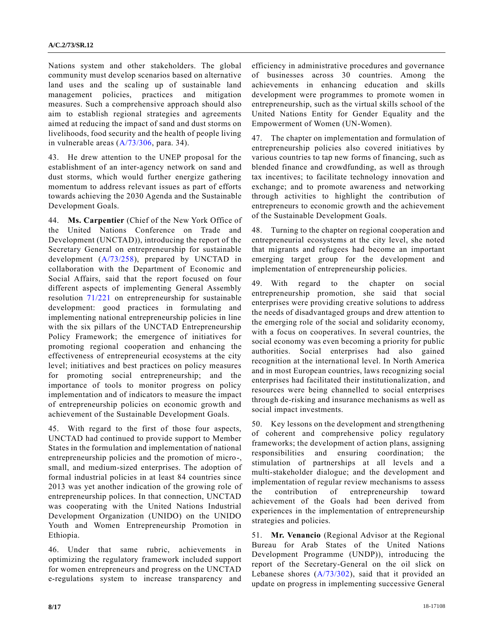Nations system and other stakeholders. The global community must develop scenarios based on alternative land uses and the scaling up of sustainable land management policies, practices and mitigation measures. Such a comprehensive approach should also aim to establish regional strategies and agreements aimed at reducing the impact of sand and dust storms on livelihoods, food security and the health of people living in vulnerable areas [\(A/73/306,](https://undocs.org/A/73/306) para. 34).

43. He drew attention to the UNEP proposal for the establishment of an inter-agency network on sand and dust storms, which would further energize gathering momentum to address relevant issues as part of efforts towards achieving the 2030 Agenda and the Sustainable Development Goals.

44. **Ms. Carpentier** (Chief of the New York Office of the United Nations Conference on Trade and Development (UNCTAD)), introducing the report of the Secretary General on entrepreneurship for sustainable development [\(A/73/258\)](https://undocs.org/A/73/258), prepared by UNCTAD in collaboration with the Department of Economic and Social Affairs, said that the report focused on four different aspects of implementing General Assembly resolution [71/221](https://undocs.org/A/RES/71/221) on entrepreneurship for sustainable development: good practices in formulating and implementing national entrepreneurship policies in line with the six pillars of the UNCTAD Entrepreneurship Policy Framework; the emergence of initiatives for promoting regional cooperation and enhancing the effectiveness of entrepreneurial ecosystems at the city level; initiatives and best practices on policy measures for promoting social entrepreneurship; and the importance of tools to monitor progress on policy implementation and of indicators to measure the impact of entrepreneurship policies on economic growth and achievement of the Sustainable Development Goals.

45. With regard to the first of those four aspects, UNCTAD had continued to provide support to Member States in the formulation and implementation of national entrepreneurship policies and the promotion of micro-, small, and medium-sized enterprises. The adoption of formal industrial policies in at least 84 countries since 2013 was yet another indication of the growing role of entrepreneurship polices. In that connection, UNCTAD was cooperating with the United Nations Industrial Development Organization (UNIDO) on the UNIDO Youth and Women Entrepreneurship Promotion in Ethiopia.

46. Under that same rubric, achievements in optimizing the regulatory framework included support for women entrepreneurs and progress on the UNCTAD e-regulations system to increase transparency and efficiency in administrative procedures and governance of businesses across 30 countries. Among the achievements in enhancing education and skills development were programmes to promote women in entrepreneurship, such as the virtual skills school of the United Nations Entity for Gender Equality and the Empowerment of Women (UN-Women).

47. The chapter on implementation and formulation of entrepreneurship policies also covered initiatives by various countries to tap new forms of financing, such as blended finance and crowdfunding, as well as through tax incentives; to facilitate technology innovation and exchange; and to promote awareness and networking through activities to highlight the contribution of entrepreneurs to economic growth and the achievement of the Sustainable Development Goals.

48. Turning to the chapter on regional cooperation and entrepreneurial ecosystems at the city level, she noted that migrants and refugees had become an important emerging target group for the development and implementation of entrepreneurship policies.

49. With regard to the chapter on social entrepreneurship promotion, she said that social enterprises were providing creative solutions to address the needs of disadvantaged groups and drew attention to the emerging role of the social and solidarity economy, with a focus on cooperatives. In several countries, the social economy was even becoming a priority for public authorities. Social enterprises had also gained recognition at the international level. In North America and in most European countries, laws recognizing social enterprises had facilitated their institutionalization, and resources were being channelled to social enterprises through de-risking and insurance mechanisms as well as social impact investments.

50. Key lessons on the development and strengthening of coherent and comprehensive policy regulatory frameworks; the development of action plans, assigning responsibilities and ensuring coordination; the stimulation of partnerships at all levels and a multi-stakeholder dialogue; and the development and implementation of regular review mechanisms to assess the contribution of entrepreneurship toward achievement of the Goals had been derived from experiences in the implementation of entrepreneurship strategies and policies.

51. **Mr. Venancio** (Regional Advisor at the Regional Bureau for Arab States of the United Nations Development Programme (UNDP)), introducing the report of the Secretary-General on the oil slick on Lebanese shores  $(A/73/302)$ , said that it provided an update on progress in implementing successive General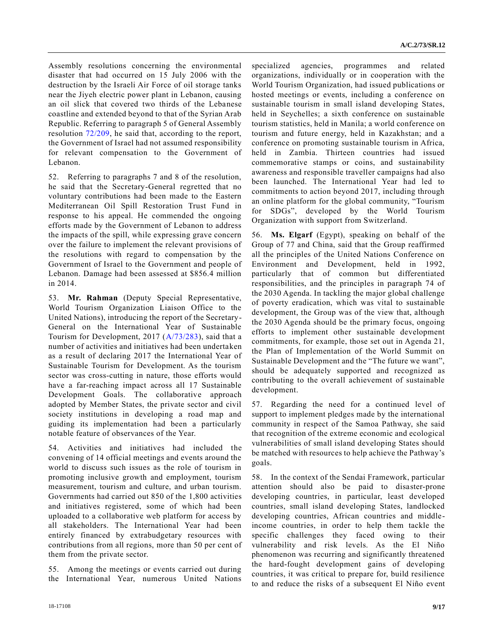Assembly resolutions concerning the environmental disaster that had occurred on 15 July 2006 with the destruction by the Israeli Air Force of oil storage tanks near the Jiyeh electric power plant in Lebanon, causing an oil slick that covered two thirds of the Lebanese coastline and extended beyond to that of the Syrian Arab Republic. Referring to paragraph 5 of General Assembly resolution [72/209,](https://undocs.org/A/RES/72/209) he said that, according to the report, the Government of Israel had not assumed responsibility for relevant compensation to the Government of Lebanon.

52. Referring to paragraphs 7 and 8 of the resolution, he said that the Secretary-General regretted that no voluntary contributions had been made to the Eastern Mediterranean Oil Spill Restoration Trust Fund in response to his appeal. He commended the ongoing efforts made by the Government of Lebanon to address the impacts of the spill, while expressing grave concern over the failure to implement the relevant provisions of the resolutions with regard to compensation by the Government of Israel to the Government and people of Lebanon. Damage had been assessed at \$856.4 million in 2014.

53. **Mr. Rahman** (Deputy Special Representative, World Tourism Organization Liaison Office to the United Nations), introducing the report of the Secretary-General on the International Year of Sustainable Tourism for Development, 2017 [\(A/73/283\)](https://undocs.org/A/73/283), said that a number of activities and initiatives had been undertaken as a result of declaring 2017 the International Year of Sustainable Tourism for Development. As the tourism sector was cross-cutting in nature, those efforts would have a far-reaching impact across all 17 Sustainable Development Goals. The collaborative approach adopted by Member States, the private sector and civil society institutions in developing a road map and guiding its implementation had been a particularly notable feature of observances of the Year.

54. Activities and initiatives had included the convening of 14 official meetings and events around the world to discuss such issues as the role of tourism in promoting inclusive growth and employment, tourism measurement, tourism and culture, and urban tourism. Governments had carried out 850 of the 1,800 activities and initiatives registered, some of which had been uploaded to a collaborative web platform for access by all stakeholders. The International Year had been entirely financed by extrabudgetary resources with contributions from all regions, more than 50 per cent of them from the private sector.

55. Among the meetings or events carried out during the International Year, numerous United Nations

specialized agencies, programmes and related organizations, individually or in cooperation with the World Tourism Organization, had issued publications or hosted meetings or events, including a conference on sustainable tourism in small island developing States, held in Seychelles; a sixth conference on sustainable tourism statistics, held in Manila; a world conference on tourism and future energy, held in Kazakhstan; and a conference on promoting sustainable tourism in Africa, held in Zambia. Thirteen countries had issued commemorative stamps or coins, and sustainability awareness and responsible traveller campaigns had also been launched. The International Year had led to commitments to action beyond 2017, including through an online platform for the global community, "Tourism for SDGs", developed by the World Tourism Organization with support from Switzerland.

56. **Ms. Elgarf** (Egypt), speaking on behalf of the Group of 77 and China, said that the Group reaffirmed all the principles of the United Nations Conference on Environment and Development, held in 1992, particularly that of common but differentiated responsibilities, and the principles in paragraph 74 of the 2030 Agenda. In tackling the major global challenge of poverty eradication, which was vital to sustainable development, the Group was of the view that, although the 2030 Agenda should be the primary focus, ongoing efforts to implement other sustainable development commitments, for example, those set out in Agenda 21, the Plan of Implementation of the World Summit on Sustainable Development and the "The future we want", should be adequately supported and recognized as contributing to the overall achievement of sustainable development.

57. Regarding the need for a continued level of support to implement pledges made by the international community in respect of the Samoa Pathway, she said that recognition of the extreme economic and ecological vulnerabilities of small island developing States should be matched with resources to help achieve the Pathway's goals.

58. In the context of the Sendai Framework, particular attention should also be paid to disaster-prone developing countries, in particular, least developed countries, small island developing States, landlocked developing countries, African countries and middleincome countries, in order to help them tackle the specific challenges they faced owing to their vulnerability and risk levels. As the El Niño phenomenon was recurring and significantly threatened the hard-fought development gains of developing countries, it was critical to prepare for, build resilience to and reduce the risks of a subsequent El Niño event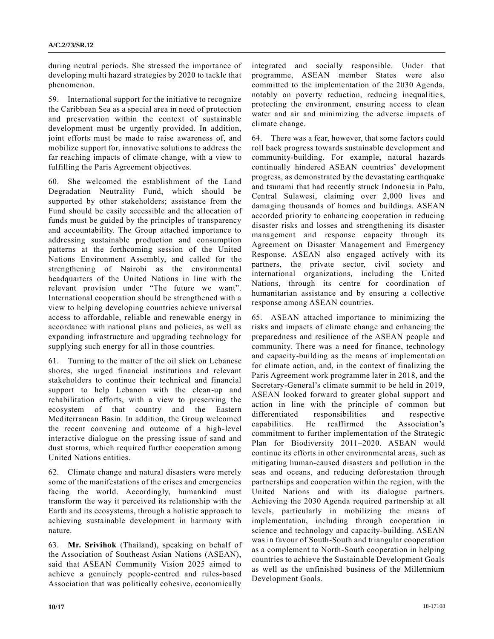during neutral periods. She stressed the importance of developing multi hazard strategies by 2020 to tackle that phenomenon.

59. International support for the initiative to recognize the Caribbean Sea as a special area in need of protection and preservation within the context of sustainable development must be urgently provided. In addition, joint efforts must be made to raise awareness of, and mobilize support for, innovative solutions to address the far reaching impacts of climate change, with a view to fulfilling the Paris Agreement objectives.

60. She welcomed the establishment of the Land Degradation Neutrality Fund, which should be supported by other stakeholders; assistance from the Fund should be easily accessible and the allocation of funds must be guided by the principles of transparency and accountability. The Group attached importance to addressing sustainable production and consumption patterns at the forthcoming session of the United Nations Environment Assembly, and called for the strengthening of Nairobi as the environmental headquarters of the United Nations in line with the relevant provision under "The future we want". International cooperation should be strengthened with a view to helping developing countries achieve universal access to affordable, reliable and renewable energy in accordance with national plans and policies, as well as expanding infrastructure and upgrading technology for supplying such energy for all in those countries.

61. Turning to the matter of the oil slick on Lebanese shores, she urged financial institutions and relevant stakeholders to continue their technical and financial support to help Lebanon with the clean-up and rehabilitation efforts, with a view to preserving the ecosystem of that country and the Eastern Mediterranean Basin. In addition, the Group welcomed the recent convening and outcome of a high-level interactive dialogue on the pressing issue of sand and dust storms, which required further cooperation among United Nations entities.

62. Climate change and natural disasters were merely some of the manifestations of the crises and emergencies facing the world. Accordingly, humankind must transform the way it perceived its relationship with the Earth and its ecosystems, through a holistic approach to achieving sustainable development in harmony with nature.

63. **Mr. Srivihok** (Thailand), speaking on behalf of the Association of Southeast Asian Nations (ASEAN), said that ASEAN Community Vision 2025 aimed to achieve a genuinely people-centred and rules-based Association that was politically cohesive, economically

integrated and socially responsible. Under that programme, ASEAN member States were also committed to the implementation of the 2030 Agenda, notably on poverty reduction, reducing inequalities, protecting the environment, ensuring access to clean water and air and minimizing the adverse impacts of climate change.

64. There was a fear, however, that some factors could roll back progress towards sustainable development and community-building. For example, natural hazards continually hindered ASEAN countries' development progress, as demonstrated by the devastating earthquake and tsunami that had recently struck Indonesia in Palu, Central Sulawesi, claiming over 2,000 lives and damaging thousands of homes and buildings. ASEAN accorded priority to enhancing cooperation in reducing disaster risks and losses and strengthening its disaster management and response capacity through its Agreement on Disaster Management and Emergency Response. ASEAN also engaged actively with its partners, the private sector, civil society and international organizations, including the United Nations, through its centre for coordination of humanitarian assistance and by ensuring a collective response among ASEAN countries.

65. ASEAN attached importance to minimizing the risks and impacts of climate change and enhancing the preparedness and resilience of the ASEAN people and community. There was a need for finance, technology and capacity-building as the means of implementation for climate action, and, in the context of finalizing the Paris Agreement work programme later in 2018, and the Secretary-General's climate summit to be held in 2019, ASEAN looked forward to greater global support and action in line with the principle of common but differentiated responsibilities and respective capabilities. He reaffirmed the Association's commitment to further implementation of the Strategic Plan for Biodiversity 2011–2020. ASEAN would continue its efforts in other environmental areas, such as mitigating human‑caused disasters and pollution in the seas and oceans, and reducing deforestation through partnerships and cooperation within the region, with the United Nations and with its dialogue partners. Achieving the 2030 Agenda required partnership at all levels, particularly in mobilizing the means of implementation, including through cooperation in science and technology and capacity-building. ASEAN was in favour of South-South and triangular cooperation as a complement to North-South cooperation in helping countries to achieve the Sustainable Development Goals as well as the unfinished business of the Millennium Development Goals.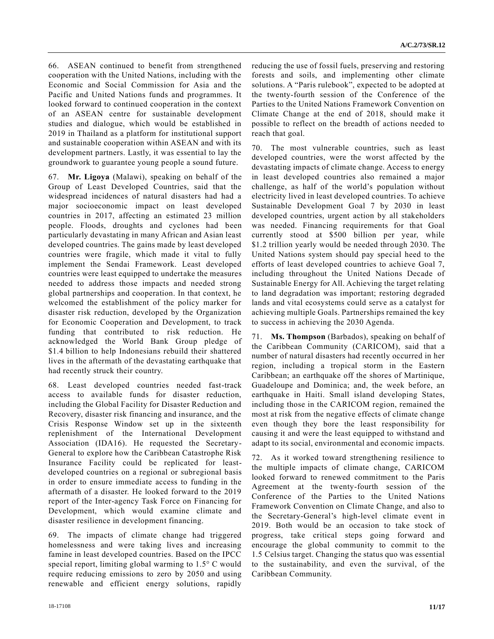66. ASEAN continued to benefit from strengthened cooperation with the United Nations, including with the Economic and Social Commission for Asia and the Pacific and United Nations funds and programmes. It looked forward to continued cooperation in the context of an ASEAN centre for sustainable development studies and dialogue, which would be established in 2019 in Thailand as a platform for institutional support and sustainable cooperation within ASEAN and with its development partners. Lastly, it was essential to lay the groundwork to guarantee young people a sound future.

67. **Mr. Ligoya** (Malawi), speaking on behalf of the Group of Least Developed Countries, said that the widespread incidences of natural disasters had had a major socioeconomic impact on least developed countries in 2017, affecting an estimated 23 million people. Floods, droughts and cyclones had been particularly devastating in many African and Asian least developed countries. The gains made by least developed countries were fragile, which made it vital to fully implement the Sendai Framework. Least developed countries were least equipped to undertake the measures needed to address those impacts and needed strong global partnerships and cooperation. In that context, he welcomed the establishment of the policy marker for disaster risk reduction, developed by the Organization for Economic Cooperation and Development, to track funding that contributed to risk reduction. He acknowledged the World Bank Group pledge of \$1.4 billion to help Indonesians rebuild their shattered lives in the aftermath of the devastating earthquake that had recently struck their country.

68. Least developed countries needed fast-track access to available funds for disaster reduction, including the Global Facility for Disaster Reduction and Recovery, disaster risk financing and insurance, and the Crisis Response Window set up in the sixteenth replenishment of the International Development Association (IDA16). He requested the Secretary-General to explore how the Caribbean Catastrophe Risk Insurance Facility could be replicated for leastdeveloped countries on a regional or subregional basis in order to ensure immediate access to funding in the aftermath of a disaster. He looked forward to the 2019 report of the Inter-agency Task Force on Financing for Development, which would examine climate and disaster resilience in development financing.

69. The impacts of climate change had triggered homelessness and were taking lives and increasing famine in least developed countries. Based on the IPCC special report, limiting global warming to 1.5° C would require reducing emissions to zero by 2050 and using renewable and efficient energy solutions, rapidly

reducing the use of fossil fuels, preserving and restoring forests and soils, and implementing other climate solutions. A "Paris rulebook", expected to be adopted at the twenty-fourth session of the Conference of the Parties to the United Nations Framework Convention on Climate Change at the end of 2018, should make it possible to reflect on the breadth of actions needed to reach that goal.

70. The most vulnerable countries, such as least developed countries, were the worst affected by the devastating impacts of climate change. Access to energy in least developed countries also remained a major challenge, as half of the world's population without electricity lived in least developed countries. To achieve Sustainable Development Goal 7 by 2030 in least developed countries, urgent action by all stakeholders was needed. Financing requirements for that Goal currently stood at \$500 billion per year, while \$1.2 trillion yearly would be needed through 2030. The United Nations system should pay special heed to the efforts of least developed countries to achieve Goal 7, including throughout the United Nations Decade of Sustainable Energy for All. Achieving the target relating to land degradation was important; restoring degraded lands and vital ecosystems could serve as a catalyst for achieving multiple Goals. Partnerships remained the key to success in achieving the 2030 Agenda.

71. **Ms. Thompson** (Barbados), speaking on behalf of the Caribbean Community (CARICOM), said that a number of natural disasters had recently occurred in her region, including a tropical storm in the Eastern Caribbean; an earthquake off the shores of Martinique, Guadeloupe and Dominica; and, the week before, an earthquake in Haiti. Small island developing States, including those in the CARICOM region, remained the most at risk from the negative effects of climate change even though they bore the least responsibility for causing it and were the least equipped to withstand and adapt to its social, environmental and economic impacts.

72. As it worked toward strengthening resilience to the multiple impacts of climate change, CARICOM looked forward to renewed commitment to the Paris Agreement at the twenty-fourth session of the Conference of the Parties to the United Nations Framework Convention on Climate Change, and also to the Secretary-General's high-level climate event in 2019. Both would be an occasion to take stock of progress, take critical steps going forward and encourage the global community to commit to the 1.5 Celsius target. Changing the status quo was essential to the sustainability, and even the survival, of the Caribbean Community.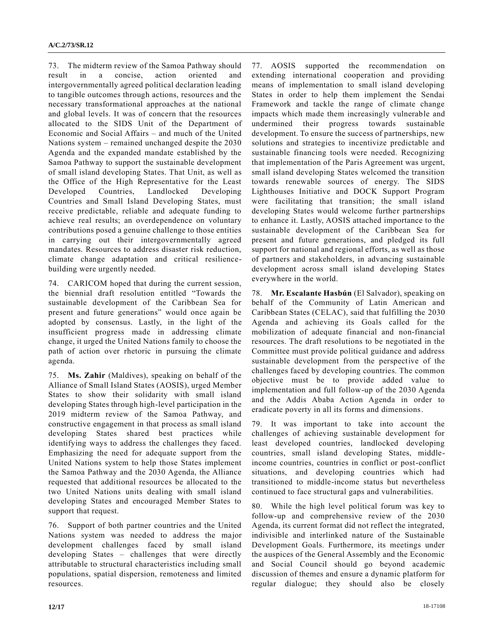73. The midterm review of the Samoa Pathway should result in a concise, action oriented and intergovernmentally agreed political declaration leading to tangible outcomes through actions, resources and the necessary transformational approaches at the national and global levels. It was of concern that the resources allocated to the SIDS Unit of the Department of Economic and Social Affairs – and much of the United Nations system – remained unchanged despite the 2030 Agenda and the expanded mandate established by the Samoa Pathway to support the sustainable development of small island developing States. That Unit, as well as the Office of the High Representative for the Least Developed Countries, Landlocked Developing Countries and Small Island Developing States, must receive predictable, reliable and adequate funding to achieve real results; an overdependence on voluntary contributions posed a genuine challenge to those entities in carrying out their intergovernmentally agreed mandates. Resources to address disaster risk reduction, climate change adaptation and critical resiliencebuilding were urgently needed.

74. CARICOM hoped that during the current session, the biennial draft resolution entitled "Towards the sustainable development of the Caribbean Sea for present and future generations" would once again be adopted by consensus. Lastly, in the light of the insufficient progress made in addressing climate change, it urged the United Nations family to choose the path of action over rhetoric in pursuing the climate agenda.

75. **Ms. Zahir** (Maldives), speaking on behalf of the Alliance of Small Island States (AOSIS), urged Member States to show their solidarity with small island developing States through high-level participation in the 2019 midterm review of the Samoa Pathway, and constructive engagement in that process as small island developing States shared best practices while identifying ways to address the challenges they faced. Emphasizing the need for adequate support from the United Nations system to help those States implement the Samoa Pathway and the 2030 Agenda, the Alliance requested that additional resources be allocated to the two United Nations units dealing with small island developing States and encouraged Member States to support that request.

76. Support of both partner countries and the United Nations system was needed to address the major development challenges faced by small island developing States – challenges that were directly attributable to structural characteristics including small populations, spatial dispersion, remoteness and limited resources.

77. AOSIS supported the recommendation on extending international cooperation and providing means of implementation to small island developing States in order to help them implement the Sendai Framework and tackle the range of climate change impacts which made them increasingly vulnerable and undermined their progress towards sustainable development. To ensure the success of partnerships, new solutions and strategies to incentivize predictable and sustainable financing tools were needed. Recognizing that implementation of the Paris Agreement was urgent, small island developing States welcomed the transition towards renewable sources of energy. The SIDS Lighthouses Initiative and DOCK Support Program were facilitating that transition; the small island developing States would welcome further partnerships to enhance it. Lastly, AOSIS attached importance to the sustainable development of the Caribbean Sea for present and future generations, and pledged its full support for national and regional efforts, as well as those of partners and stakeholders, in advancing sustainable development across small island developing States everywhere in the world.

78. **Mr. Escalante Hasbún** (El Salvador), speaking on behalf of the Community of Latin American and Caribbean States (CELAC), said that fulfilling the 2030 Agenda and achieving its Goals called for the mobilization of adequate financial and non-financial resources. The draft resolutions to be negotiated in the Committee must provide political guidance and address sustainable development from the perspective of the challenges faced by developing countries. The common objective must be to provide added value to implementation and full follow-up of the 2030 Agenda and the Addis Ababa Action Agenda in order to eradicate poverty in all its forms and dimensions.

79. It was important to take into account the challenges of achieving sustainable development for least developed countries, landlocked developing countries, small island developing States, middleincome countries, countries in conflict or post-conflict situations, and developing countries which had transitioned to middle-income status but nevertheless continued to face structural gaps and vulnerabilities.

80. While the high level political forum was key to follow-up and comprehensive review of the 2030 Agenda, its current format did not reflect the integrated, indivisible and interlinked nature of the Sustainable Development Goals. Furthermore, its meetings under the auspices of the General Assembly and the Economic and Social Council should go beyond academic discussion of themes and ensure a dynamic platform for regular dialogue; they should also be closely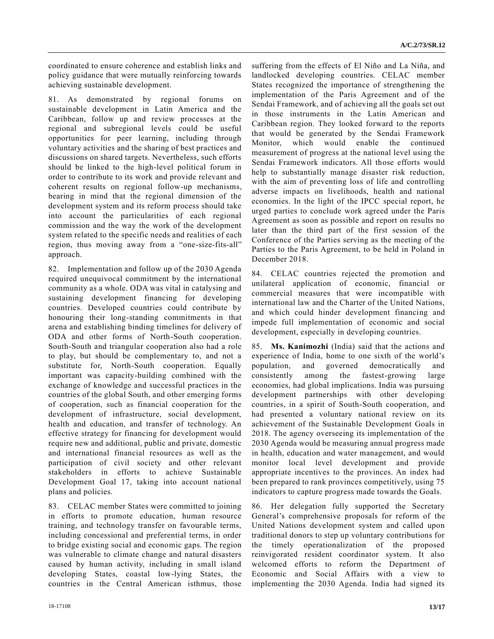coordinated to ensure coherence and establish links and policy guidance that were mutually reinforcing towards achieving sustainable development.

81. As demonstrated by regional forums on sustainable development in Latin America and the Caribbean, follow up and review processes at the regional and subregional levels could be useful opportunities for peer learning, including through voluntary activities and the sharing of best practices and discussions on shared targets. Nevertheless, such efforts should be linked to the high-level political forum in order to contribute to its work and provide relevant and coherent results on regional follow-up mechanisms, bearing in mind that the regional dimension of the development system and its reform process should take into account the particularities of each regional commission and the way the work of the development system related to the specific needs and realities of each region, thus moving away from a "one-size-fits-all" approach.

82. Implementation and follow up of the 2030 Agenda required unequivocal commitment by the international community as a whole. ODA was vital in catalysing and sustaining development financing for developing countries. Developed countries could contribute by honouring their long-standing commitments in that arena and establishing binding timelines for delivery of ODA and other forms of North-South cooperation. South-South and triangular cooperation also had a role to play, but should be complementary to, and not a substitute for, North-South cooperation. Equally important was capacity-building combined with the exchange of knowledge and successful practices in the countries of the global South, and other emerging forms of cooperation, such as financial cooperation for the development of infrastructure, social development, health and education, and transfer of technology. An effective strategy for financing for development would require new and additional, public and private, domestic and international financial resources as well as the participation of civil society and other relevant stakeholders in efforts to achieve Sustainable Development Goal 17, taking into account national plans and policies.

83. CELAC member States were committed to joining in efforts to promote education, human resource training, and technology transfer on favourable terms, including concessional and preferential terms, in order to bridge existing social and economic gaps. The region was vulnerable to climate change and natural disasters caused by human activity, including in small island developing States, coastal low-lying States, the countries in the Central American isthmus, those suffering from the effects of El Niño and La Niña, and landlocked developing countries. CELAC member States recognized the importance of strengthening the implementation of the Paris Agreement and of the Sendai Framework, and of achieving all the goals set out in those instruments in the Latin American and Caribbean region. They looked forward to the reports that would be generated by the Sendai Framework Monitor, which would enable the continued measurement of progress at the national level using the Sendai Framework indicators. All those efforts would help to substantially manage disaster risk reduction, with the aim of preventing loss of life and controlling adverse impacts on livelihoods, health and national economies. In the light of the IPCC special report, he urged parties to conclude work agreed under the Paris Agreement as soon as possible and report on results no later than the third part of the first session of the Conference of the Parties serving as the meeting of the Parties to the Paris Agreement, to be held in Poland in December 2018.

84. CELAC countries rejected the promotion and unilateral application of economic, financial or commercial measures that were incompatible with international law and the Charter of the United Nations, and which could hinder development financing and impede full implementation of economic and social development, especially in developing countries.

85. **Ms. Kanimozhi** (India) said that the actions and experience of India, home to one sixth of the world's population, and governed democratically and consistently among the fastest-growing large economies, had global implications. India was pursuing development partnerships with other developing countries, in a spirit of South-South cooperation, and had presented a voluntary national review on its achievement of the Sustainable Development Goals in 2018. The agency overseeing its implementation of the 2030 Agenda would be measuring annual progress made in health, education and water management, and would monitor local level development and provide appropriate incentives to the provinces. An index had been prepared to rank provinces competitively, using 75 indicators to capture progress made towards the Goals.

86. Her delegation fully supported the Secretary General's comprehensive proposals for reform of the United Nations development system and called upon traditional donors to step up voluntary contributions for the timely operationalization of the proposed reinvigorated resident coordinator system. It also welcomed efforts to reform the Department of Economic and Social Affairs with a view to implementing the 2030 Agenda. India had signed its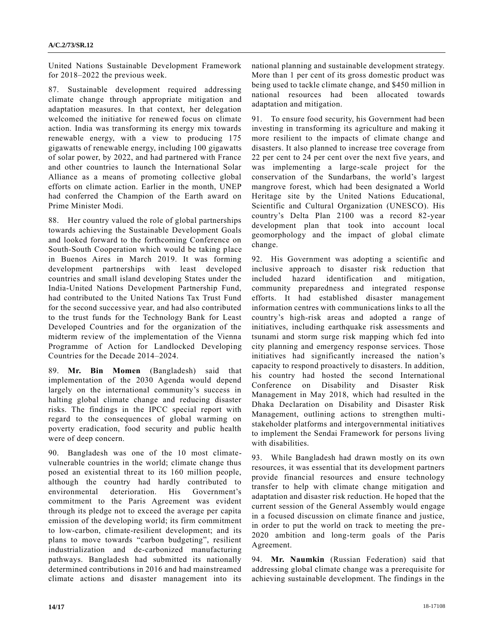United Nations Sustainable Development Framework for 2018–2022 the previous week.

87. Sustainable development required addressing climate change through appropriate mitigation and adaptation measures. In that context, her delegation welcomed the initiative for renewed focus on climate action. India was transforming its energy mix towards renewable energy, with a view to producing 175 gigawatts of renewable energy, including 100 gigawatts of solar power, by 2022, and had partnered with France and other countries to launch the International Solar Alliance as a means of promoting collective global efforts on climate action. Earlier in the month, UNEP had conferred the Champion of the Earth award on Prime Minister Modi.

88. Her country valued the role of global partnerships towards achieving the Sustainable Development Goals and looked forward to the forthcoming Conference on South-South Cooperation which would be taking place in Buenos Aires in March 2019. It was forming development partnerships with least developed countries and small island developing States under the India-United Nations Development Partnership Fund, had contributed to the United Nations Tax Trust Fund for the second successive year, and had also contributed to the trust funds for the Technology Bank for Least Developed Countries and for the organization of the midterm review of the implementation of the Vienna Programme of Action for Landlocked Developing Countries for the Decade 2014–2024.

89. **Mr. Bin Momen** (Bangladesh) said that implementation of the 2030 Agenda would depend largely on the international community's success in halting global climate change and reducing disaster risks. The findings in the IPCC special report with regard to the consequences of global warming on poverty eradication, food security and public health were of deep concern.

90. Bangladesh was one of the 10 most climatevulnerable countries in the world; climate change thus posed an existential threat to its 160 million people, although the country had hardly contributed to environmental deterioration. His Government's commitment to the Paris Agreement was evident through its pledge not to exceed the average per capita emission of the developing world; its firm commitment to low-carbon, climate-resilient development; and its plans to move towards "carbon budgeting", resilient industrialization and de-carbonized manufacturing pathways. Bangladesh had submitted its nationally determined contributions in 2016 and had mainstreamed climate actions and disaster management into its national planning and sustainable development strategy. More than 1 per cent of its gross domestic product was being used to tackle climate change, and \$450 million in national resources had been allocated towards adaptation and mitigation.

91. To ensure food security, his Government had been investing in transforming its agriculture and making it more resilient to the impacts of climate change and disasters. It also planned to increase tree coverage from 22 per cent to 24 per cent over the next five years, and was implementing a large-scale project for the conservation of the Sundarbans, the world's largest mangrove forest, which had been designated a World Heritage site by the United Nations Educational, Scientific and Cultural Organization (UNESCO). His country's Delta Plan 2100 was a record 82-year development plan that took into account local geomorphology and the impact of global climate change.

92. His Government was adopting a scientific and inclusive approach to disaster risk reduction that included hazard identification and mitigation, community preparedness and integrated response efforts. It had established disaster management information centres with communications links to all the country's high-risk areas and adopted a range of initiatives, including earthquake risk assessments and tsunami and storm surge risk mapping which fed into city planning and emergency response services. Those initiatives had significantly increased the nation's capacity to respond proactively to disasters. In addition, his country had hosted the second International Conference on Disability and Disaster Risk Management in May 2018, which had resulted in the Dhaka Declaration on Disability and Disaster Risk Management, outlining actions to strengthen multistakeholder platforms and intergovernmental initiatives to implement the Sendai Framework for persons living with disabilities.

93. While Bangladesh had drawn mostly on its own resources, it was essential that its development partners provide financial resources and ensure technology transfer to help with climate change mitigation and adaptation and disaster risk reduction. He hoped that the current session of the General Assembly would engage in a focused discussion on climate finance and justice, in order to put the world on track to meeting the pre-2020 ambition and long-term goals of the Paris Agreement.

94. **Mr. Naumkin** (Russian Federation) said that addressing global climate change was a prerequisite for achieving sustainable development. The findings in the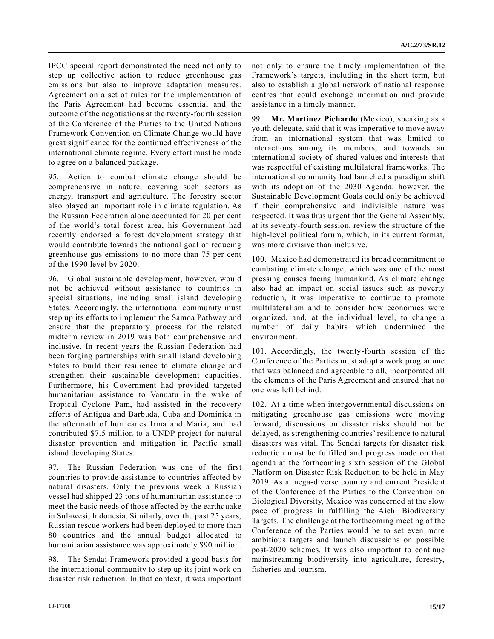IPCC special report demonstrated the need not only to step up collective action to reduce greenhouse gas emissions but also to improve adaptation measures. Agreement on a set of rules for the implementation of the Paris Agreement had become essential and the outcome of the negotiations at the twenty-fourth session of the Conference of the Parties to the United Nations Framework Convention on Climate Change would have great significance for the continued effectiveness of the international climate regime. Every effort must be made to agree on a balanced package.

95. Action to combat climate change should be comprehensive in nature, covering such sectors as energy, transport and agriculture. The forestry sector also played an important role in climate regulation. As the Russian Federation alone accounted for 20 per cent of the world's total forest area, his Government had recently endorsed a forest development strategy that would contribute towards the national goal of reducing greenhouse gas emissions to no more than 75 per cent of the 1990 level by 2020.

96. Global sustainable development, however, would not be achieved without assistance to countries in special situations, including small island developing States. Accordingly, the international community must step up its efforts to implement the Samoa Pathway and ensure that the preparatory process for the related midterm review in 2019 was both comprehensive and inclusive. In recent years the Russian Federation had been forging partnerships with small island developing States to build their resilience to climate change and strengthen their sustainable development capacities. Furthermore, his Government had provided targeted humanitarian assistance to Vanuatu in the wake of Tropical Cyclone Pam, had assisted in the recovery efforts of Antigua and Barbuda, Cuba and Dominica in the aftermath of hurricanes Irma and Maria, and had contributed \$7.5 million to a UNDP project for natural disaster prevention and mitigation in Pacific small island developing States.

97. The Russian Federation was one of the first countries to provide assistance to countries affected by natural disasters. Only the previous week a Russian vessel had shipped 23 tons of humanitarian assistance to meet the basic needs of those affected by the earthquake in Sulawesi, Indonesia. Similarly, over the past 25 years, Russian rescue workers had been deployed to more than 80 countries and the annual budget allocated to humanitarian assistance was approximately \$90 million.

98. The Sendai Framework provided a good basis for the international community to step up its joint work on disaster risk reduction. In that context, it was important

not only to ensure the timely implementation of the Framework's targets, including in the short term, but also to establish a global network of national response centres that could exchange information and provide assistance in a timely manner.

99. **Mr. Martínez Pichardo** (Mexico), speaking as a youth delegate, said that it was imperative to move away from an international system that was limited to interactions among its members, and towards an international society of shared values and interests that was respectful of existing multilateral frameworks. The international community had launched a paradigm shift with its adoption of the 2030 Agenda; however, the Sustainable Development Goals could only be achieved if their comprehensive and indivisible nature was respected. It was thus urgent that the General Assembly, at its seventy-fourth session, review the structure of the high-level political forum, which, in its current format, was more divisive than inclusive.

100. Mexico had demonstrated its broad commitment to combating climate change, which was one of the most pressing causes facing humankind. As climate change also had an impact on social issues such as poverty reduction, it was imperative to continue to promote multilateralism and to consider how economies were organized, and, at the individual level, to change a number of daily habits which undermined the environment.

101. Accordingly, the twenty-fourth session of the Conference of the Parties must adopt a work programme that was balanced and agreeable to all, incorporated all the elements of the Paris Agreement and ensured that no one was left behind.

102. At a time when intergovernmental discussions on mitigating greenhouse gas emissions were moving forward, discussions on disaster risks should not be delayed, as strengthening countries' resilience to natural disasters was vital. The Sendai targets for disaster risk reduction must be fulfilled and progress made on that agenda at the forthcoming sixth session of the Global Platform on Disaster Risk Reduction to be held in May 2019. As a mega-diverse country and current President of the Conference of the Parties to the Convention on Biological Diversity, Mexico was concerned at the slow pace of progress in fulfilling the Aichi Biodiversity Targets. The challenge at the forthcoming meeting of the Conference of the Parties would be to set even more ambitious targets and launch discussions on possible post-2020 schemes. It was also important to continue mainstreaming biodiversity into agriculture, forestry, fisheries and tourism.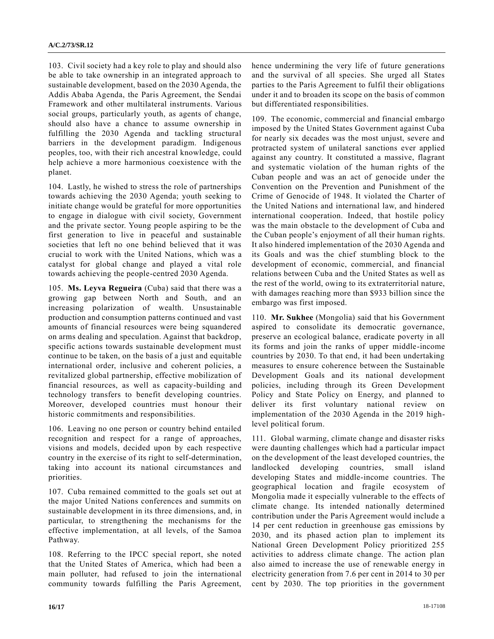103. Civil society had a key role to play and should also be able to take ownership in an integrated approach to sustainable development, based on the 2030 Agenda, the Addis Ababa Agenda, the Paris Agreement, the Sendai Framework and other multilateral instruments. Various social groups, particularly youth, as agents of change, should also have a chance to assume ownership in fulfilling the 2030 Agenda and tackling structural barriers in the development paradigm. Indigenous peoples, too, with their rich ancestral knowledge, could help achieve a more harmonious coexistence with the planet.

104. Lastly, he wished to stress the role of partnerships towards achieving the 2030 Agenda; youth seeking to initiate change would be grateful for more opportunities to engage in dialogue with civil society, Government and the private sector. Young people aspiring to be the first generation to live in peaceful and sustainable societies that left no one behind believed that it was crucial to work with the United Nations, which was a catalyst for global change and played a vital role towards achieving the people-centred 2030 Agenda.

105. **Ms. Leyva Regueira** (Cuba) said that there was a growing gap between North and South, and an increasing polarization of wealth. Unsustainable production and consumption patterns continued and vast amounts of financial resources were being squandered on arms dealing and speculation. Against that backdrop, specific actions towards sustainable development must continue to be taken, on the basis of a just and equitable international order, inclusive and coherent policies, a revitalized global partnership, effective mobilization of financial resources, as well as capacity-building and technology transfers to benefit developing countries. Moreover, developed countries must honour their historic commitments and responsibilities.

106. Leaving no one person or country behind entailed recognition and respect for a range of approaches, visions and models, decided upon by each respective country in the exercise of its right to self-determination, taking into account its national circumstances and priorities.

107. Cuba remained committed to the goals set out at the major United Nations conferences and summits on sustainable development in its three dimensions, and, in particular, to strengthening the mechanisms for the effective implementation, at all levels, of the Samoa Pathway.

108. Referring to the IPCC special report, she noted that the United States of America, which had been a main polluter, had refused to join the international community towards fulfilling the Paris Agreement, hence undermining the very life of future generations and the survival of all species. She urged all States parties to the Paris Agreement to fulfil their obligations under it and to broaden its scope on the basis of common but differentiated responsibilities.

109. The economic, commercial and financial embargo imposed by the United States Government against Cuba for nearly six decades was the most unjust, severe and protracted system of unilateral sanctions ever applied against any country. It constituted a massive, flagrant and systematic violation of the human rights of the Cuban people and was an act of genocide under the Convention on the Prevention and Punishment of the Crime of Genocide of 1948. It violated the Charter of the United Nations and international law, and hindered international cooperation. Indeed, that hostile policy was the main obstacle to the development of Cuba and the Cuban people's enjoyment of all their human rights. It also hindered implementation of the 2030 Agenda and its Goals and was the chief stumbling block to the development of economic, commercial, and financial relations between Cuba and the United States as well as the rest of the world, owing to its extraterritorial nature, with damages reaching more than \$933 billion since the embargo was first imposed.

110. **Mr. Sukhee** (Mongolia) said that his Government aspired to consolidate its democratic governance, preserve an ecological balance, eradicate poverty in all its forms and join the ranks of upper middle-income countries by 2030. To that end, it had been undertaking measures to ensure coherence between the Sustainable Development Goals and its national development policies, including through its Green Development Policy and State Policy on Energy, and planned to deliver its first voluntary national review on implementation of the 2030 Agenda in the 2019 highlevel political forum.

111. Global warming, climate change and disaster risks were daunting challenges which had a particular impact on the development of the least developed countries, the landlocked developing countries, small island developing States and middle-income countries. The geographical location and fragile ecosystem of Mongolia made it especially vulnerable to the effects of climate change. Its intended nationally determined contribution under the Paris Agreement would include a 14 per cent reduction in greenhouse gas emissions by 2030, and its phased action plan to implement its National Green Development Policy prioritized 255 activities to address climate change. The action plan also aimed to increase the use of renewable energy in electricity generation from 7.6 per cent in 2014 to 30 per cent by 2030. The top priorities in the government